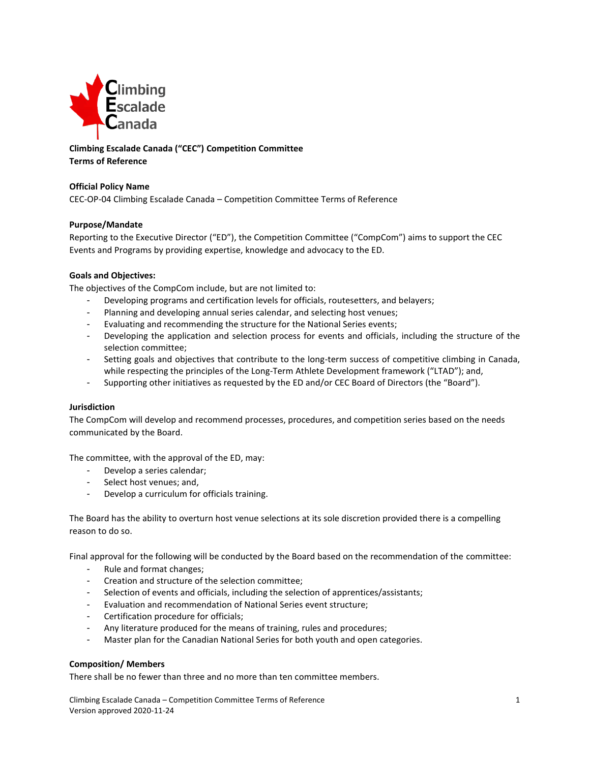

# **Climbing Escalade Canada ("CEC") Competition Committee Terms of Reference**

## **Official Policy Name**

CEC-OP-04 Climbing Escalade Canada – Competition Committee Terms of Reference

## **Purpose/Mandate**

Reporting to the Executive Director ("ED"), the Competition Committee ("CompCom") aims to support the CEC Events and Programs by providing expertise, knowledge and advocacy to the ED.

## **Goals and Objectives:**

The objectives of the CompCom include, but are not limited to:

- Developing programs and certification levels for officials, routesetters, and belayers;
- Planning and developing annual series calendar, and selecting host venues;
- Evaluating and recommending the structure for the National Series events;
- Developing the application and selection process for events and officials, including the structure of the selection committee;
- Setting goals and objectives that contribute to the long-term success of competitive climbing in Canada, while respecting the principles of the Long-Term Athlete Development framework ("LTAD"); and,
- Supporting other initiatives as requested by the ED and/or CEC Board of Directors (the "Board").

#### **Jurisdiction**

The CompCom will develop and recommend processes, procedures, and competition series based on the needs communicated by the Board.

The committee, with the approval of the ED, may:

- Develop a series calendar;
- Select host venues; and,
- Develop a curriculum for officials training.

The Board has the ability to overturn host venue selections at its sole discretion provided there is a compelling reason to do so.

Final approval for the following will be conducted by the Board based on the recommendation of the committee:

- Rule and format changes;
- Creation and structure of the selection committee;
- Selection of events and officials, including the selection of apprentices/assistants;
- Evaluation and recommendation of National Series event structure;
- Certification procedure for officials;
- Any literature produced for the means of training, rules and procedures;
- Master plan for the Canadian National Series for both youth and open categories.

#### **Composition/ Members**

There shall be no fewer than three and no more than ten committee members.

Climbing Escalade Canada – Competition Committee Terms of Reference 1 Version approved 2020-11-24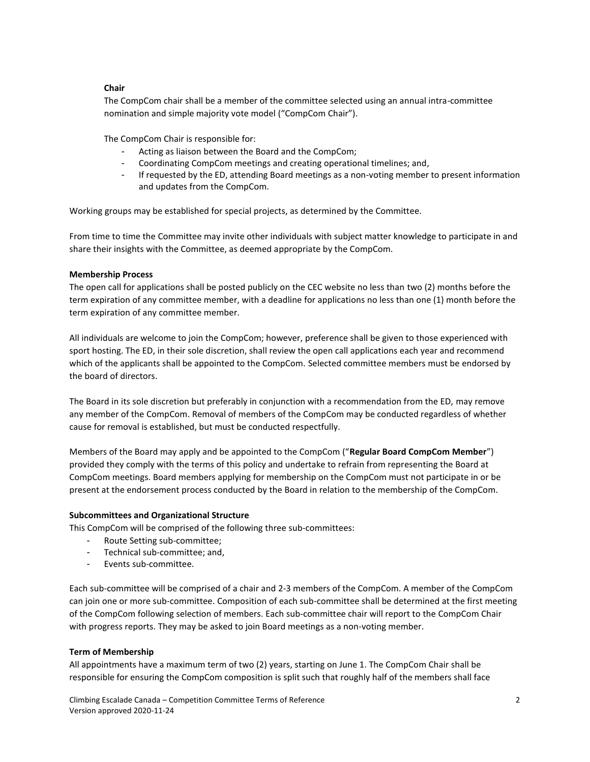## **Chair**

The CompCom chair shall be a member of the committee selected using an annual intra-committee nomination and simple majority vote model ("CompCom Chair").

The CompCom Chair is responsible for:

- Acting as liaison between the Board and the CompCom;
- Coordinating CompCom meetings and creating operational timelines; and,
- If requested by the ED, attending Board meetings as a non-voting member to present information and updates from the CompCom.

Working groups may be established for special projects, as determined by the Committee.

From time to time the Committee may invite other individuals with subject matter knowledge to participate in and share their insights with the Committee, as deemed appropriate by the CompCom.

#### **Membership Process**

The open call for applications shall be posted publicly on the CEC website no less than two (2) months before the term expiration of any committee member, with a deadline for applications no less than one (1) month before the term expiration of any committee member.

All individuals are welcome to join the CompCom; however, preference shall be given to those experienced with sport hosting. The ED, in their sole discretion, shall review the open call applications each year and recommend which of the applicants shall be appointed to the CompCom. Selected committee members must be endorsed by the board of directors.

The Board in its sole discretion but preferably in conjunction with a recommendation from the ED, may remove any member of the CompCom. Removal of members of the CompCom may be conducted regardless of whether cause for removal is established, but must be conducted respectfully.

Members of the Board may apply and be appointed to the CompCom ("**Regular Board CompCom Member**") provided they comply with the terms of this policy and undertake to refrain from representing the Board at CompCom meetings. Board members applying for membership on the CompCom must not participate in or be present at the endorsement process conducted by the Board in relation to the membership of the CompCom.

#### **Subcommittees and Organizational Structure**

This CompCom will be comprised of the following three sub-committees:

- Route Setting sub-committee;
- Technical sub-committee; and,
- Events sub-committee.

Each sub-committee will be comprised of a chair and 2-3 members of the CompCom. A member of the CompCom can join one or more sub-committee. Composition of each sub-committee shall be determined at the first meeting of the CompCom following selection of members. Each sub-committee chair will report to the CompCom Chair with progress reports. They may be asked to join Board meetings as a non-voting member.

#### **Term of Membership**

All appointments have a maximum term of two (2) years, starting on June 1. The CompCom Chair shall be responsible for ensuring the CompCom composition is split such that roughly half of the members shall face

Climbing Escalade Canada – Competition Committee Terms of Reference 2 Version approved 2020-11-24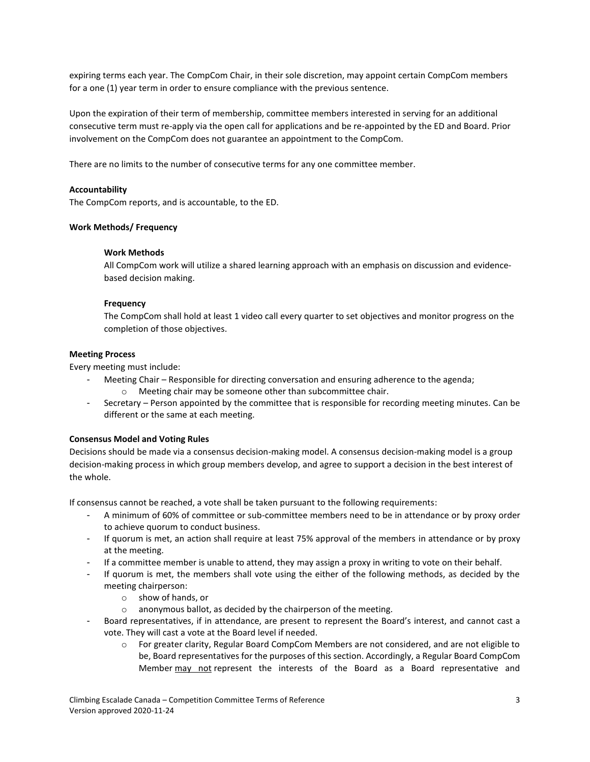expiring terms each year. The CompCom Chair, in their sole discretion, may appoint certain CompCom members for a one (1) year term in order to ensure compliance with the previous sentence.

Upon the expiration of their term of membership, committee members interested in serving for an additional consecutive term must re-apply via the open call for applications and be re-appointed by the ED and Board. Prior involvement on the CompCom does not guarantee an appointment to the CompCom.

There are no limits to the number of consecutive terms for any one committee member.

## **Accountability**

The CompCom reports, and is accountable, to the ED.

## **Work Methods/ Frequency**

## **Work Methods**

All CompCom work will utilize a shared learning approach with an emphasis on discussion and evidencebased decision making.

## **Frequency**

The CompCom shall hold at least 1 video call every quarter to set objectives and monitor progress on the completion of those objectives.

#### **Meeting Process**

Every meeting must include:

- Meeting Chair Responsible for directing conversation and ensuring adherence to the agenda;
	- o Meeting chair may be someone other than subcommittee chair.
- Secretary Person appointed by the committee that is responsible for recording meeting minutes. Can be different or the same at each meeting.

## **Consensus Model and Voting Rules**

Decisions should be made via a consensus decision-making model. A consensus decision-making model is a group decision-making process in which group members develop, and agree to support a decision in the best interest of the whole.

If consensus cannot be reached, a vote shall be taken pursuant to the following requirements:

- A minimum of 60% of committee or sub-committee members need to be in attendance or by proxy order to achieve quorum to conduct business.
- If quorum is met, an action shall require at least 75% approval of the members in attendance or by proxy at the meeting.
- If a committee member is unable to attend, they may assign a proxy in writing to vote on their behalf.
- If quorum is met, the members shall vote using the either of the following methods, as decided by the meeting chairperson:
	- o show of hands, or
	- o anonymous ballot, as decided by the chairperson of the meeting.
- Board representatives, if in attendance, are present to represent the Board's interest, and cannot cast a vote. They will cast a vote at the Board level if needed.
	- o For greater clarity, Regular Board CompCom Members are not considered, and are not eligible to be, Board representatives for the purposes of this section. Accordingly, a Regular Board CompCom Member may not represent the interests of the Board as a Board representative and